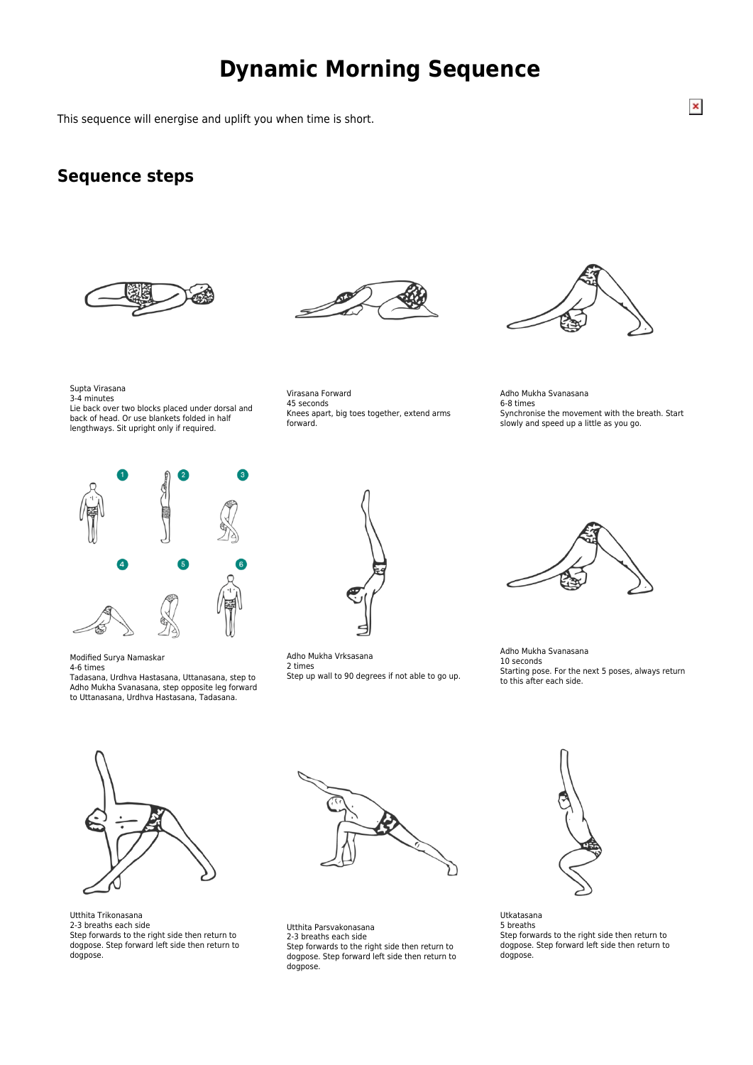## **Dynamic Morning Sequence**

This sequence will energise and uplift you when time is short.

## **Sequence steps**







Supta Virasana 3-4 minutes

Lie back over two blocks placed under dorsal and back of head. Or use blankets folded in half lengthways. Sit upright only if required.

Virasana Forward 45 seconds Knees apart, big toes together, extend arms forward.

Adho Mukha Svanasana 6-8 times Synchronise the movement with the breath. Start slowly and speed up a little as you go.



Modified Surya Namaskar

4-6 times

Tadasana, Urdhva Hastasana, Uttanasana, step to Adho Mukha Svanasana, step opposite leg forward to Uttanasana, Urdhva Hastasana, Tadasana.



Adho Mukha Vrksasana 2 times Step up wall to 90 degrees if not able to go up.



Adho Mukha Svanasana 10 seconds Starting pose. For the next 5 poses, always return to this after each side.



Utthita Trikonasana 2-3 breaths each side Step forwards to the right side then return to dogpose. Step forward left side then return to dogpose.



Utthita Parsvakonasana 2-3 breaths each side Step forwards to the right side then return to dogpose. Step forward left side then return to dogpose.



Utkatasana 5 breaths Step forwards to the right side then return to dogpose. Step forward left side then return to dogpose.